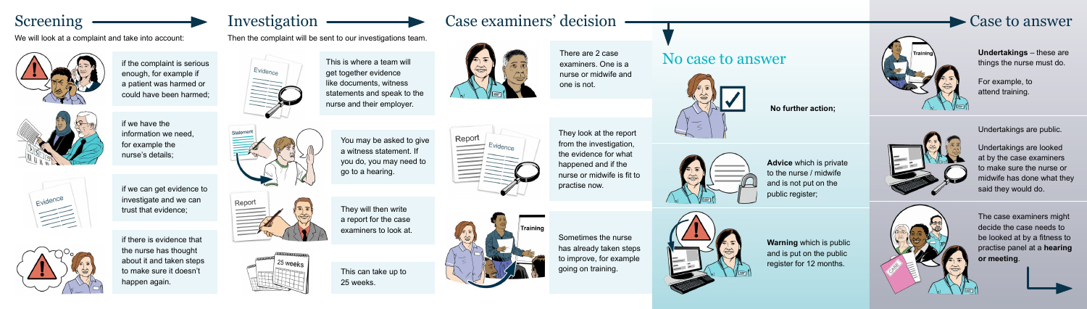# Screening

if the complaint is serious enough, for example if a patient was harmed or could have been harmed;



if we have the information we need, for example the nurse's details;



if we can get evidence to investigate and we can trust that evidence;

if there is evidence that the nurse has thought about it and taken steps to make sure it doesn't happen again.



Investigation

We will look at a complaint and take into account:



Then the complaint will be sent to our investigations team.





This is where a team will get together evidence like documents, witness statements and speak to the nurse and their employer.

> You may be asked to give a witness statement. If you do, you may need to go to a hearing.



**Undertakings** – these are things the nurse must do.



They will then write a report for the case examiners to look at.



This can take up to 25 weeks.



# Case examiners' decision

There are 2 case examiners. One is a nurse or midwife and one is not.

They look at the report from the investigation, the evidence for what happened and if the nurse or midwife is fit to practise now.



Sometimes the nurse has already taken steps to improve, for example going on training.







### No case to answer



#### **No further action;**

**Advice** which is private to the nurse / midwife and is not put on the public register;

**Warning** which is public and is put on the public register for 12 months.





For example, to attend training.

The case examiners might decide the case needs to be looked at by a fitness to practise panel at a **hearing or meeting**.

### Case to answer



Undertakings are public.

Undertakings are looked at by the case examiners to make sure the nurse or midwife has done what they said they would do.